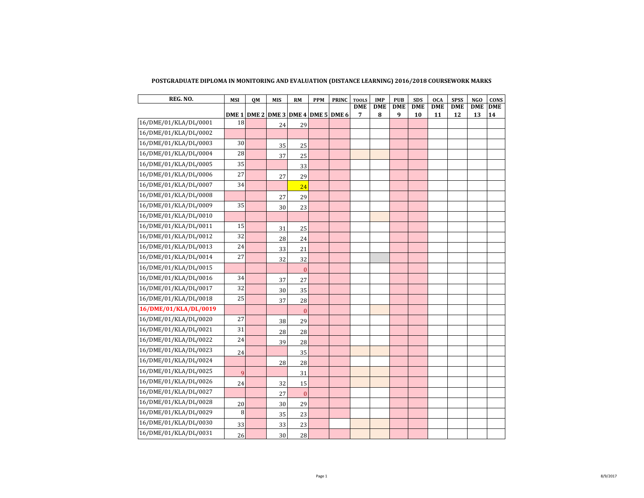| REG. NO.              | <b>MSI</b> | QM | <b>MIS</b> | RM                                  | <b>PPM</b> | <b>PRINC</b> | <b>TOOLS</b>    | <b>IMP</b>      | <b>PUB</b>      | <b>SDS</b>       | <b>OCA</b>       | <b>SPSS</b> | <b>NGO</b>       | <b>CONS</b>      |
|-----------------------|------------|----|------------|-------------------------------------|------------|--------------|-----------------|-----------------|-----------------|------------------|------------------|-------------|------------------|------------------|
|                       |            |    |            | DME 1 DME 2 DME 3 DME 4 DME 5 DME 6 |            |              | <b>DME</b><br>7 | <b>DME</b><br>8 | <b>DME</b><br>9 | <b>DME</b><br>10 | <b>DME</b><br>11 | DME<br>12   | <b>DME</b><br>13 | <b>DME</b><br>14 |
| 16/DME/01/KLA/DL/0001 | 18         |    | 24         | 29                                  |            |              |                 |                 |                 |                  |                  |             |                  |                  |
| 16/DME/01/KLA/DL/0002 |            |    |            |                                     |            |              |                 |                 |                 |                  |                  |             |                  |                  |
| 16/DME/01/KLA/DL/0003 | 30         |    | 35         | 25                                  |            |              |                 |                 |                 |                  |                  |             |                  |                  |
| 16/DME/01/KLA/DL/0004 | 28         |    | 37         | 25                                  |            |              |                 |                 |                 |                  |                  |             |                  |                  |
| 16/DME/01/KLA/DL/0005 | 35         |    |            | 33                                  |            |              |                 |                 |                 |                  |                  |             |                  |                  |
| 16/DME/01/KLA/DL/0006 | 27         |    | 27         | 29                                  |            |              |                 |                 |                 |                  |                  |             |                  |                  |
| 16/DME/01/KLA/DL/0007 | 34         |    |            | 24                                  |            |              |                 |                 |                 |                  |                  |             |                  |                  |
| 16/DME/01/KLA/DL/0008 |            |    | 27         | 29                                  |            |              |                 |                 |                 |                  |                  |             |                  |                  |
| 16/DME/01/KLA/DL/0009 | 35         |    | 30         | 23                                  |            |              |                 |                 |                 |                  |                  |             |                  |                  |
| 16/DME/01/KLA/DL/0010 |            |    |            |                                     |            |              |                 |                 |                 |                  |                  |             |                  |                  |
| 16/DME/01/KLA/DL/0011 | 15         |    | 31         | 25                                  |            |              |                 |                 |                 |                  |                  |             |                  |                  |
| 16/DME/01/KLA/DL/0012 | 32         |    | 28         | 24                                  |            |              |                 |                 |                 |                  |                  |             |                  |                  |
| 16/DME/01/KLA/DL/0013 | 24         |    | 33         | 21                                  |            |              |                 |                 |                 |                  |                  |             |                  |                  |
| 16/DME/01/KLA/DL/0014 | 27         |    | 32         | 32                                  |            |              |                 |                 |                 |                  |                  |             |                  |                  |
| 16/DME/01/KLA/DL/0015 |            |    |            | $\mathbf{0}$                        |            |              |                 |                 |                 |                  |                  |             |                  |                  |
| 16/DME/01/KLA/DL/0016 | 34         |    | 37         | 27                                  |            |              |                 |                 |                 |                  |                  |             |                  |                  |
| 16/DME/01/KLA/DL/0017 | 32         |    | 30         | 35                                  |            |              |                 |                 |                 |                  |                  |             |                  |                  |
| 16/DME/01/KLA/DL/0018 | 25         |    | 37         | 28                                  |            |              |                 |                 |                 |                  |                  |             |                  |                  |
| 16/DME/01/KLA/DL/0019 |            |    |            | $\overline{0}$                      |            |              |                 |                 |                 |                  |                  |             |                  |                  |
| 16/DME/01/KLA/DL/0020 | 27         |    | 38         | 29                                  |            |              |                 |                 |                 |                  |                  |             |                  |                  |
| 16/DME/01/KLA/DL/0021 | 31         |    | 28         | 28                                  |            |              |                 |                 |                 |                  |                  |             |                  |                  |
| 16/DME/01/KLA/DL/0022 | 24         |    | 39         | 28                                  |            |              |                 |                 |                 |                  |                  |             |                  |                  |
| 16/DME/01/KLA/DL/0023 | 24         |    |            | 35                                  |            |              |                 |                 |                 |                  |                  |             |                  |                  |
| 16/DME/01/KLA/DL/0024 |            |    | 28         | 28                                  |            |              |                 |                 |                 |                  |                  |             |                  |                  |
| 16/DME/01/KLA/DL/0025 | 9          |    |            | 31                                  |            |              |                 |                 |                 |                  |                  |             |                  |                  |
| 16/DME/01/KLA/DL/0026 | 24         |    | 32         | 15                                  |            |              |                 |                 |                 |                  |                  |             |                  |                  |
| 16/DME/01/KLA/DL/0027 |            |    | 27         | $\bf{0}$                            |            |              |                 |                 |                 |                  |                  |             |                  |                  |
| 16/DME/01/KLA/DL/0028 | 20         |    | 30         | 29                                  |            |              |                 |                 |                 |                  |                  |             |                  |                  |
| 16/DME/01/KLA/DL/0029 | 8          |    | 35         | 23                                  |            |              |                 |                 |                 |                  |                  |             |                  |                  |
| 16/DME/01/KLA/DL/0030 | 33         |    | 33         | 23                                  |            |              |                 |                 |                 |                  |                  |             |                  |                  |
| 16/DME/01/KLA/DL/0031 | 26         |    | 30         | 28                                  |            |              |                 |                 |                 |                  |                  |             |                  |                  |

## **POSTGRADUATE DIPLOMA IN MONITORING AND EVALUATION (DISTANCE LEARNING) 2016/2018 COURSEWORK MARKS**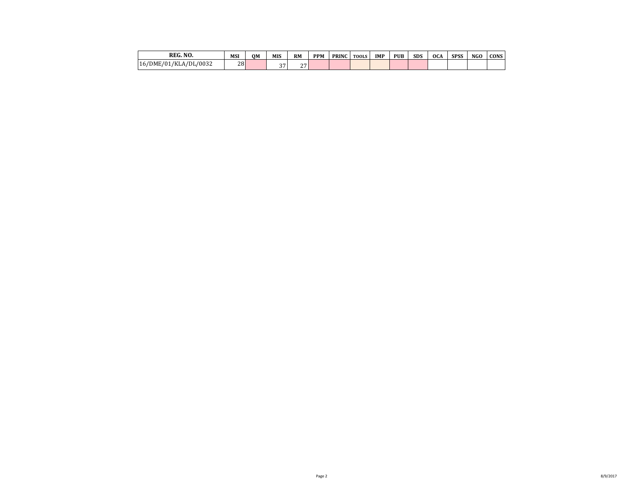| REG. NO.                        | MSI | OM | MIS             | <b>RM</b>       | <b>PPM</b> | <b>PRINC</b> | <b>TOOLS</b> | <b>IMP</b> | <b>PUB</b> | <b>SDS</b> | <b>OCA</b> | <b>SPSS</b> | NGO | <b>CONS</b> |
|---------------------------------|-----|----|-----------------|-----------------|------------|--------------|--------------|------------|------------|------------|------------|-------------|-----|-------------|
| A/DL/0032<br>16/DME/01/<br>/KLA | 28  |    | $\sim$ $-$<br>. | $\sim$ $-$<br>- |            |              |              |            |            |            |            |             |     |             |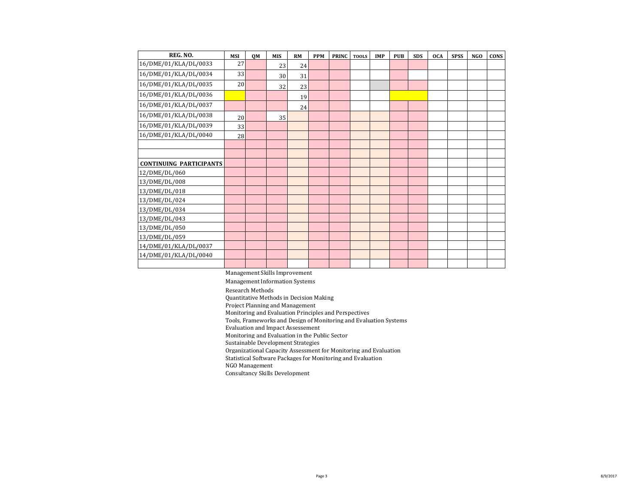| REG. NO.                       | <b>MSI</b> | <b>OM</b> | <b>MIS</b> | <b>RM</b> | <b>PPM</b> | <b>PRINC</b> | <b>TOOLS</b> | <b>IMP</b> | <b>PUB</b> | <b>SDS</b> | <b>OCA</b> | <b>SPSS</b> | <b>NGO</b> | <b>CONS</b> |
|--------------------------------|------------|-----------|------------|-----------|------------|--------------|--------------|------------|------------|------------|------------|-------------|------------|-------------|
| 16/DME/01/KLA/DL/0033          | 27         |           | 23         | 24        |            |              |              |            |            |            |            |             |            |             |
| 16/DME/01/KLA/DL/0034          | 33         |           | 30         | 31        |            |              |              |            |            |            |            |             |            |             |
| 16/DME/01/KLA/DL/0035          | 20         |           | 32         | 23        |            |              |              |            |            |            |            |             |            |             |
| 16/DME/01/KLA/DL/0036          |            |           |            | 19        |            |              |              |            |            |            |            |             |            |             |
| 16/DME/01/KLA/DL/0037          |            |           |            | 24        |            |              |              |            |            |            |            |             |            |             |
| 16/DME/01/KLA/DL/0038          | 20         |           | 35         |           |            |              |              |            |            |            |            |             |            |             |
| 16/DME/01/KLA/DL/0039          | 33         |           |            |           |            |              |              |            |            |            |            |             |            |             |
| 16/DME/01/KLA/DL/0040          | 28         |           |            |           |            |              |              |            |            |            |            |             |            |             |
|                                |            |           |            |           |            |              |              |            |            |            |            |             |            |             |
|                                |            |           |            |           |            |              |              |            |            |            |            |             |            |             |
| <b>CONTINUING PARTICIPANTS</b> |            |           |            |           |            |              |              |            |            |            |            |             |            |             |
| 12/DME/DL/060                  |            |           |            |           |            |              |              |            |            |            |            |             |            |             |
| 13/DME/DL/008                  |            |           |            |           |            |              |              |            |            |            |            |             |            |             |
| 13/DME/DL/018                  |            |           |            |           |            |              |              |            |            |            |            |             |            |             |
| 13/DME/DL/024                  |            |           |            |           |            |              |              |            |            |            |            |             |            |             |
| 13/DME/DL/034                  |            |           |            |           |            |              |              |            |            |            |            |             |            |             |
| 13/DME/DL/043                  |            |           |            |           |            |              |              |            |            |            |            |             |            |             |
| 13/DME/DL/050                  |            |           |            |           |            |              |              |            |            |            |            |             |            |             |
| 13/DME/DL/059                  |            |           |            |           |            |              |              |            |            |            |            |             |            |             |
| 14/DME/01/KLA/DL/0037          |            |           |            |           |            |              |              |            |            |            |            |             |            |             |
| 14/DME/01/KLA/DL/0040          |            |           |            |           |            |              |              |            |            |            |            |             |            |             |
|                                |            |           |            |           |            |              |              |            |            |            |            |             |            |             |

Management Skills Improvement

Management Information Systems Research Methods Quantitative Methods in Decision Making Project Planning and Management Monitoring and Evaluation Principles and Perspectives Tools, Frameworks and Design of Monitoring and Evaluation Systems Evaluation and Impact Assessement Monitoring and Evaluation in the Public Sector Sustainable Development Strategies Organizational Capacity Assessment for Monitoring and Evaluation Statistical Software Packages for Monitoring and Evaluation NGO Management Consultancy Skills Development